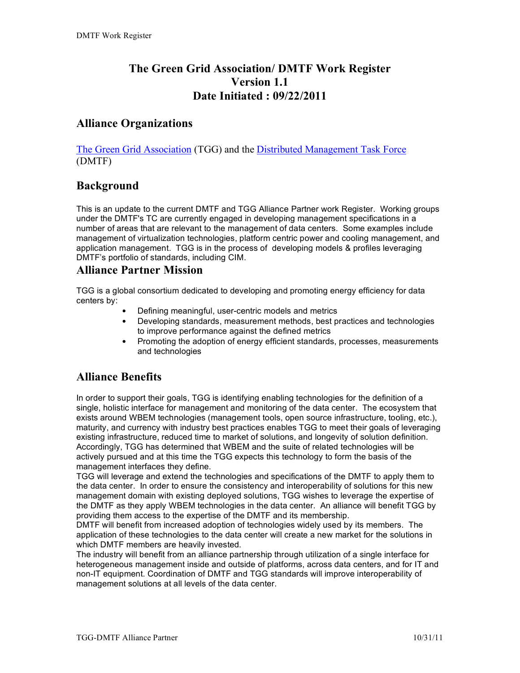# **The Green Grid Association/ DMTF Work Register Version 1.1 Date Initiated : 09/22/2011**

#### **Alliance Organizations**

The Green Grid Association (TGG) and the Distributed Management Task Force (DMTF)

# **Background**

This is an update to the current DMTF and TGG Alliance Partner work Register. Working groups under the DMTF's TC are currently engaged in developing management specifications in a number of areas that are relevant to the management of data centers. Some examples include management of virtualization technologies, platform centric power and cooling management, and application management. TGG is in the process of developing models & profiles leveraging DMTF's portfolio of standards, including CIM.

#### **Alliance Partner Mission**

TGG is a global consortium dedicated to developing and promoting energy efficiency for data centers by:

- Defining meaningful, user-centric models and metrics
- Developing standards, measurement methods, best practices and technologies to improve performance against the defined metrics
- Promoting the adoption of energy efficient standards, processes, measurements and technologies

## **Alliance Benefits**

In order to support their goals, TGG is identifying enabling technologies for the definition of a single, holistic interface for management and monitoring of the data center. The ecosystem that exists around WBEM technologies (management tools, open source infrastructure, tooling, etc.), maturity, and currency with industry best practices enables TGG to meet their goals of leveraging existing infrastructure, reduced time to market of solutions, and longevity of solution definition. Accordingly, TGG has determined that WBEM and the suite of related technologies will be actively pursued and at this time the TGG expects this technology to form the basis of the management interfaces they define.

TGG will leverage and extend the technologies and specifications of the DMTF to apply them to the data center. In order to ensure the consistency and interoperability of solutions for this new management domain with existing deployed solutions, TGG wishes to leverage the expertise of the DMTF as they apply WBEM technologies in the data center. An alliance will benefit TGG by providing them access to the expertise of the DMTF and its membership.

DMTF will benefit from increased adoption of technologies widely used by its members. The application of these technologies to the data center will create a new market for the solutions in which DMTF members are heavily invested.

The industry will benefit from an alliance partnership through utilization of a single interface for heterogeneous management inside and outside of platforms, across data centers, and for IT and non-IT equipment. Coordination of DMTF and TGG standards will improve interoperability of management solutions at all levels of the data center.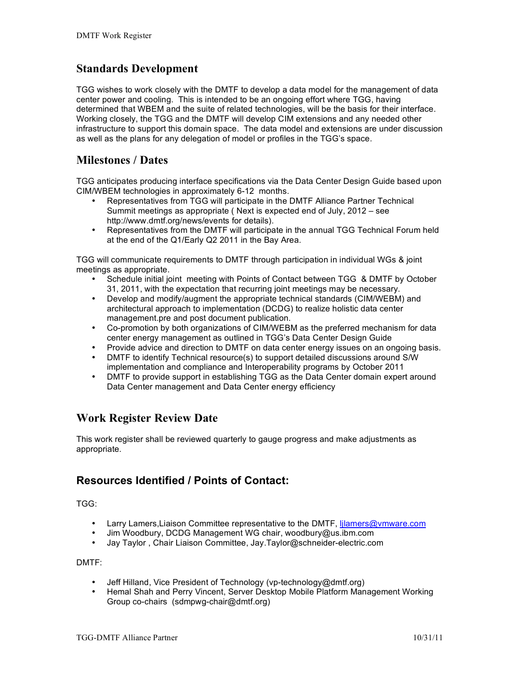#### **Standards Development**

TGG wishes to work closely with the DMTF to develop a data model for the management of data center power and cooling. This is intended to be an ongoing effort where TGG, having determined that WBEM and the suite of related technologies, will be the basis for their interface. Working closely, the TGG and the DMTF will develop CIM extensions and any needed other infrastructure to support this domain space. The data model and extensions are under discussion as well as the plans for any delegation of model or profiles in the TGG's space.

#### **Milestones / Dates**

TGG anticipates producing interface specifications via the Data Center Design Guide based upon CIM/WBEM technologies in approximately 6-12 months.

- Representatives from TGG will participate in the DMTF Alliance Partner Technical Summit meetings as appropriate ( Next is expected end of July, 2012 – see http://www.dmtf.org/news/events for details).
- Representatives from the DMTF will participate in the annual TGG Technical Forum held at the end of the Q1/Early Q2 2011 in the Bay Area.

TGG will communicate requirements to DMTF through participation in individual WGs & joint meetings as appropriate.

- Schedule initial joint meeting with Points of Contact between TGG & DMTF by October 31, 2011, with the expectation that recurring joint meetings may be necessary.
- Develop and modify/augment the appropriate technical standards (CIM/WEBM) and architectural approach to implementation (DCDG) to realize holistic data center management.pre and post document publication.
- Co-promotion by both organizations of CIM/WEBM as the preferred mechanism for data center energy management as outlined in TGG's Data Center Design Guide
- Provide advice and direction to DMTF on data center energy issues on an ongoing basis.
- DMTF to identify Technical resource(s) to support detailed discussions around S/W implementation and compliance and Interoperability programs by October 2011
- DMTF to provide support in establishing TGG as the Data Center domain expert around Data Center management and Data Center energy efficiency

## **Work Register Review Date**

This work register shall be reviewed quarterly to gauge progress and make adjustments as appropriate.

## **Resources Identified / Points of Contact:**

TGG:

- Larry Lamers, Liaison Committee representative to the DMTF, Ijlamers@vmware.com
- Jim Woodbury, DCDG Management WG chair, woodbury@us.ibm.com
- Jay Taylor , Chair Liaison Committee, Jay.Taylor@schneider-electric.com

DMTF:

- Jeff Hilland, Vice President of Technology (vp-technology@dmtf.org)
- Hemal Shah and Perry Vincent, Server Desktop Mobile Platform Management Working Group co-chairs (sdmpwg-chair@dmtf.org)